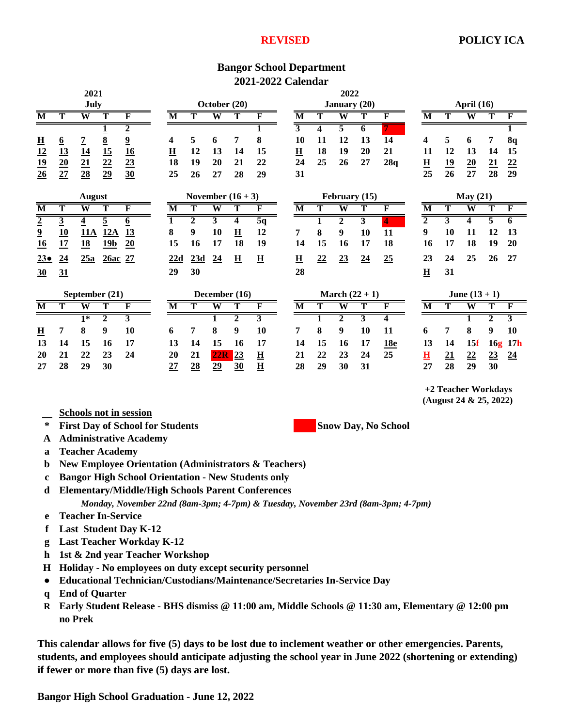## **REVISED**

## **Bangor School Department 2021-2022 Calendar**

| 2021                                                                                                             |                                    |                                 |                                   | 2022                            |                          |                 |                         |                          |                          |               |                          |    |                         |                         |                 |                          |                         |                                               |                |                         |
|------------------------------------------------------------------------------------------------------------------|------------------------------------|---------------------------------|-----------------------------------|---------------------------------|--------------------------|-----------------|-------------------------|--------------------------|--------------------------|---------------|--------------------------|----|-------------------------|-------------------------|-----------------|--------------------------|-------------------------|-----------------------------------------------|----------------|-------------------------|
| July                                                                                                             |                                    |                                 |                                   | October (20)                    |                          |                 |                         |                          |                          | January (20)  |                          |    |                         |                         | April $(16)$    |                          |                         |                                               |                |                         |
| М                                                                                                                | Т                                  | $\overline{\textbf{W}}$         | Т                                 | F                               | M                        | Т               | $\overline{\textbf{W}}$ | т                        | F                        |               | $\overline{\mathbf{M}}$  |    | $\overline{\mathbf{W}}$ | Т                       | F               | M                        |                         | $\overline{\text{W}}$                         | т              | F                       |
|                                                                                                                  |                                    |                                 | $\overline{1}$                    | $\overline{2}$                  |                          |                 |                         |                          | 1                        |               | $\overline{3}$           | 4  | $\overline{5}$          | 6                       |                 |                          |                         |                                               |                |                         |
|                                                                                                                  | $\underline{6}$                    | $\overline{1}$                  |                                   | $\overline{\mathbf{a}}$         | 4                        | 5               | 6                       | 7                        | 8                        |               | 10                       | 11 | 12                      | 13                      | $\overline{14}$ | 4                        | 5                       | 6                                             | 7              | 8q                      |
| $\frac{11}{12}$<br>$\frac{19}{26}$                                                                               | $\frac{13}{20}$<br>$\frac{27}{27}$ | $\frac{14}{21}$ $\frac{23}{28}$ | $\frac{8}{15}$<br>$\frac{22}{29}$ | $\frac{16}{23}$ $\frac{23}{30}$ | $\underline{\mathbf{H}}$ | 12              | 13                      | 14                       | 15                       |               | $\underline{\mathbf{H}}$ | 18 | 19                      | 20                      | 21              | 11                       | 12                      | 13                                            | 14             | 15                      |
|                                                                                                                  |                                    |                                 |                                   |                                 | 18                       | 19              | 20                      | 21                       | 22                       |               | 24                       | 25 | 26                      | 27                      | 28q             | $\underline{\mathbf{H}}$ | 19                      | $\underline{20}$                              | 21             | $\underline{22}$        |
|                                                                                                                  |                                    |                                 |                                   |                                 | 25                       | 26              | 27                      | 28                       | 29                       |               | 31                       |    |                         |                         |                 | 25                       | 26                      | 27                                            | 28             | 29                      |
| <b>August</b>                                                                                                    |                                    |                                 |                                   | November $(16 + 3)$             |                          |                 |                         |                          |                          | February (15) |                          |    |                         | May (21)                |                 |                          |                         |                                               |                |                         |
| $\overline{\text{M}}$                                                                                            | Т                                  | W                               | т                                 | $\overline{\mathbf{F}}$         | $\overline{\mathbf{M}}$  | т               | W                       | T                        | $\overline{\mathbf{F}}$  |               | $\overline{\mathbf{M}}$  | т  | W                       | т                       | F               | $\overline{\mathbf{M}}$  | т                       | $\overline{\textbf{W}}$                       | т              | F                       |
| $\frac{2}{9}$ $\frac{16}{16}$                                                                                    | $\overline{3}$                     | $\overline{4}$                  | $\overline{5}$                    | $6\overline{6}$                 | $\overline{\mathbf{1}}$  | $\overline{2}$  | $\mathbf{3}$            | 4                        | 5q                       |               |                          | 1  | $\mathbf{2}$            | $\overline{\mathbf{3}}$ | 4               | $\overline{2}$           | $\overline{\mathbf{3}}$ | $\overline{\mathbf{4}}$                       | 5              | 6                       |
|                                                                                                                  | 10                                 | <b>11A</b>                      | 12A                               | <u>13</u>                       | 8                        | 9               | 10                      | $\mathbf H$              | 12                       |               | 7                        | 8  | 9                       | 10                      | 11              | 9                        | 10                      | 11                                            | 12             | 13                      |
|                                                                                                                  | 17                                 | 18                              | 19 <sub>b</sub>                   | 20                              | 15                       | 16              | 17                      | 18                       | 19                       |               | 14                       | 15 | 16                      | 17                      | 18              | 16                       | 17                      | 18                                            | 19             | 20                      |
| $23\bullet$                                                                                                      | 24                                 | 25a                             | 26ac 27                           |                                 | 22d                      | 23d             | $\overline{24}$         | $\underline{\mathbf{H}}$ | $\overline{\mathbf{H}}$  |               | $\underline{\mathbf{H}}$ | 22 | 23                      | 24                      | 25              | 23                       | 24                      | 25                                            | 26             | 27                      |
| $\frac{30}{2}$                                                                                                   | 31                                 |                                 |                                   |                                 | 29                       | 30              |                         |                          |                          |               | 28                       |    |                         |                         |                 | $\underline{\mathbf{H}}$ | 31                      |                                               |                |                         |
| September (21)                                                                                                   |                                    |                                 |                                   | December (16)                   |                          |                 |                         |                          | March $(22 + 1)$         |               |                          |    | June $(13 + 1)$         |                         |                 |                          |                         |                                               |                |                         |
| $\overline{\mathbf{M}}$                                                                                          | Т                                  | $\overline{\textbf{W}}$         | T                                 | $\overline{\mathbf{F}}$         | $\overline{\mathbf{M}}$  | T               | $\overline{\textbf{W}}$ | T                        | $\mathbf{F}$             |               | $\overline{\mathbf{M}}$  |    | $\overline{\mathbf{W}}$ | T                       | F               | $\overline{\mathbf{M}}$  | $\overline{\text{T}}$   | $\overline{\textbf{W}}$                       | T              | F                       |
|                                                                                                                  |                                    | $\overline{1^*}$                | $\overline{2}$                    | $\overline{\mathbf{3}}$         |                          |                 |                         | $\overline{2}$           | $\overline{\mathbf{3}}$  |               |                          |    | $\overline{2}$          | 3                       | 4               |                          |                         | 1                                             | $\overline{2}$ | $\overline{\mathbf{3}}$ |
| $\overline{\mathbf{H}}$                                                                                          | 7                                  | 8                               | 9                                 | 10                              | 6                        | 7               | 8                       | 9                        | 10                       |               | 7                        | 8  | 9                       | 10                      | 11              | 6                        | 7                       | 8                                             | 9              | 10                      |
| 13                                                                                                               | 14                                 | 15                              | 16                                | 17                              | 13                       | 14              | 15                      | 16                       | 17                       |               | 14                       | 15 | 16                      | 17                      | <u>18e</u>      | 13                       | 14                      | 15f                                           |                | 16g 17h                 |
| 20                                                                                                               | 21                                 | 22                              | 23                                | 24                              | 20                       | 21              | 22R                     | 23                       | $\underline{\mathbf{H}}$ |               | 21                       | 22 | 23                      | 24                      | 25              | $\overline{\mathbf{H}}$  | 21                      | 22                                            | 23             | $\underline{24}$        |
| 27                                                                                                               | 28                                 | 29                              | 30                                |                                 | 27                       | $\overline{28}$ | $\overline{29}$         | 30                       | $\overline{\mathbf{H}}$  |               | 28                       | 29 | 30                      | 31                      |                 | 27                       | 28                      | 29                                            | 30             |                         |
|                                                                                                                  |                                    |                                 |                                   |                                 |                          |                 |                         |                          |                          |               |                          |    |                         |                         |                 |                          |                         | +2 Teacher Workdays<br>(August 24 & 25, 2022) |                |                         |
| <b>Schools not in session</b><br>$\ast$<br><b>First Day of School for Students</b><br><b>Snow Day, No School</b> |                                    |                                 |                                   |                                 |                          |                 |                         |                          |                          |               |                          |    |                         |                         |                 |                          |                         |                                               |                |                         |
| <b>Administrative Academy</b><br>A                                                                               |                                    |                                 |                                   |                                 |                          |                 |                         |                          |                          |               |                          |    |                         |                         |                 |                          |                         |                                               |                |                         |
| a                                                                                                                | <b>Teacher Academy</b>             |                                 |                                   |                                 |                          |                 |                         |                          |                          |               |                          |    |                         |                         |                 |                          |                         |                                               |                |                         |

- **b New Employee Orientation (Administrators & Teachers)**
- **c Bangor High School Orientation New Students only**
- **d Elementary/Middle/High Schools Parent Conferences**

*Monday, November 22nd (8am-3pm; 4-7pm) & Tuesday, November 23rd (8am-3pm; 4-7pm)*

- **e Teacher In-Service**
- **f Last Student Day K-12**
- **g Last Teacher Workday K-12**
- **h 1st & 2nd year Teacher Workshop**
- **H Holiday No employees on duty except security personnel**
- **● Educational Technician/Custodians/Maintenance/Secretaries In-Service Day**
- **q End of Quarter**
- **R Early Student Release BHS dismiss @ 11:00 am, Middle Schools @ 11:30 am, Elementary @ 12:00 pm no Prek**

**This calendar allows for five (5) days to be lost due to inclement weather or other emergencies. Parents, students, and employees should anticipate adjusting the school year in June 2022 (shortening or extending) if fewer or more than five (5) days are lost.**